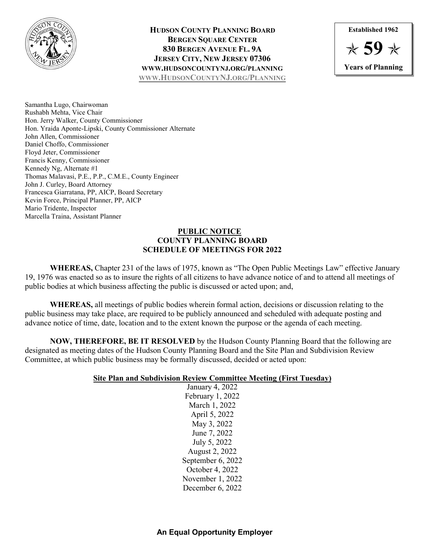

## **HUDSON COUNTY PLANNING BOARD BERGEN SOUARE CENTER 830 BERGEN AVENUE FL. 9A JERSEY CITY, NEW JERSEY 07306 WWW.HUDSONCOUNTYNJ.ORG/PLANNING [WWW.HUDSONCOUNTYNJ.ORG/PLANNING](http://www.hudsoncountynj.org/Planning)**



Samantha Lugo, Chairwoman Rushabh Mehta, Vice Chair Hon. Jerry Walker, County Commissioner Hon. Yraida Aponte-Lipski, County Commissioner Alternate John Allen, Commissioner Daniel Choffo, Commissioner Floyd Jeter, Commissioner Francis Kenny, Commissioner Kennedy Ng, Alternate #1 Thomas Malavasi, P.E., P.P., C.M.E., County Engineer John J. Curley, Board Attorney Francesca Giarratana, PP, AICP, Board Secretary Kevin Force, Principal Planner, PP, AICP Mario Tridente, Inspector Marcella Traina, Assistant Planner

## **PUBLIC NOTICE COUNTY PLANNING BOARD SCHEDULE OF MEETINGS FOR 2022**

**WHEREAS,** Chapter 231 of the laws of 1975, known as "The Open Public Meetings Law" effective January 19, 1976 was enacted so as to insure the rights of all citizens to have advance notice of and to attend all meetings of public bodies at which business affecting the public is discussed or acted upon; and,

**WHEREAS,** all meetings of public bodies wherein formal action, decisions or discussion relating to the public business may take place, are required to be publicly announced and scheduled with adequate posting and advance notice of time, date, location and to the extent known the purpose or the agenda of each meeting.

**NOW, THEREFORE, BE IT RESOLVED** by the Hudson County Planning Board that the following are designated as meeting dates of the Hudson County Planning Board and the Site Plan and Subdivision Review Committee, at which public business may be formally discussed, decided or acted upon:

## **Site Plan and Subdivision Review Committee Meeting (First Tuesday)**

January 4, 2022 February 1, 2022 March 1, 2022 April 5, 2022 May 3, 2022 June 7, 2022 July 5, 2022 August 2, 2022 September 6, 2022 October 4, 2022 November 1, 2022 December 6, 2022

# **An Equal Opportunity Employer**